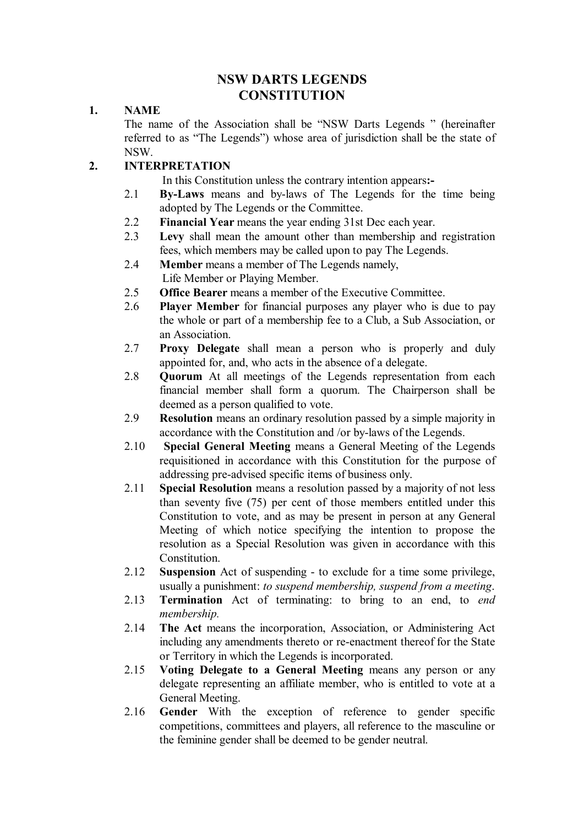# **NSW DARTS LEGENDS CONSTITUTION**

### **1. NAME**

The name of the Association shall be "NSW Darts Legends " (hereinafter referred to as "The Legends") whose area of jurisdiction shall be the state of NSW.

# **2. INTERPRETATION**

In this Constitution unless the contrary intention appears**:-** 

- 2.1 **By-Laws** means and by-laws of The Legends for the time being adopted by The Legends or the Committee.
- 2.2 **Financial Year** means the year ending 31st Dec each year.
- 2.3 **Levy** shall mean the amount other than membership and registration fees, which members may be called upon to pay The Legends.
- 2.4 **Member** means a member of The Legends namely, Life Member or Playing Member.
- 2.5 **Office Bearer** means a member of the Executive Committee.
- 2.6 **Player Member** for financial purposes any player who is due to pay the whole or part of a membership fee to a Club, a Sub Association, or an Association.
- 2.7 **Proxy Delegate** shall mean a person who is properly and duly appointed for, and, who acts in the absence of a delegate.
- 2.8 **Quorum** At all meetings of the Legends representation from each financial member shall form a quorum. The Chairperson shall be deemed as a person qualified to vote.
- 2.9 **Resolution** means an ordinary resolution passed by a simple majority in accordance with the Constitution and /or by-laws of the Legends.
- 2.10 **Special General Meeting** means a General Meeting of the Legends requisitioned in accordance with this Constitution for the purpose of addressing pre-advised specific items of business only.
- 2.11 **Special Resolution** means a resolution passed by a majority of not less than seventy five (75) per cent of those members entitled under this Constitution to vote, and as may be present in person at any General Meeting of which notice specifying the intention to propose the resolution as a Special Resolution was given in accordance with this Constitution.
- 2.12 **Suspension** Act of suspending to exclude for a time some privilege, usually a punishment: *to suspend membership, suspend from a meeting*.
- 2.13 **Termination** Act of terminating: to bring to an end, to *end membership.*
- 2.14 **The Act** means the incorporation, Association, or Administering Act including any amendments thereto or re-enactment thereof for the State or Territory in which the Legends is incorporated.
- 2.15 **Voting Delegate to a General Meeting** means any person or any delegate representing an affiliate member, who is entitled to vote at a General Meeting.
- 2.16 **Gender** With the exception of reference to gender specific competitions, committees and players, all reference to the masculine or the feminine gender shall be deemed to be gender neutral.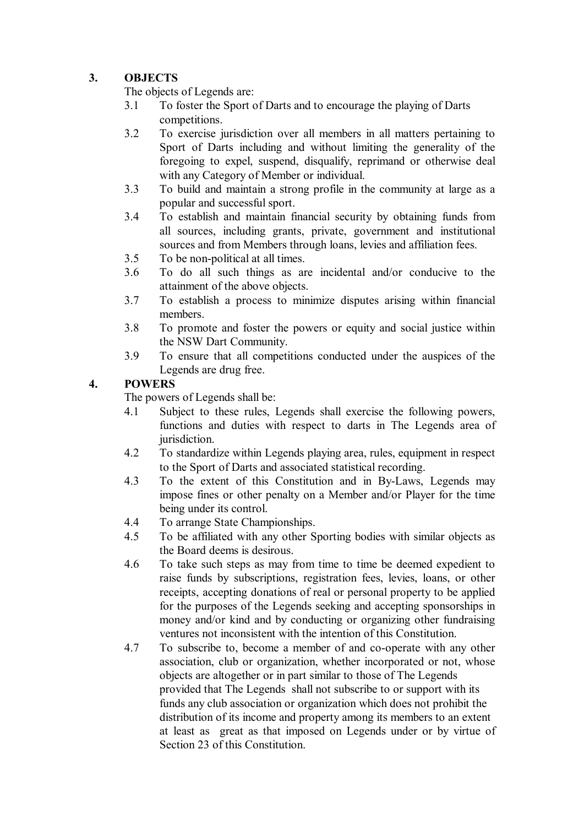# **3. OBJECTS**

The objects of Legends are:

- 3.1 To foster the Sport of Darts and to encourage the playing of Darts competitions.
- 3.2 To exercise jurisdiction over all members in all matters pertaining to Sport of Darts including and without limiting the generality of the foregoing to expel, suspend, disqualify, reprimand or otherwise deal with any Category of Member or individual.
- 3.3 To build and maintain a strong profile in the community at large as a popular and successful sport.
- 3.4 To establish and maintain financial security by obtaining funds from all sources, including grants, private, government and institutional sources and from Members through loans, levies and affiliation fees.
- 3.5 To be non-political at all times.
- 3.6 To do all such things as are incidental and/or conducive to the attainment of the above objects.
- 3.7 To establish a process to minimize disputes arising within financial members.
- 3.8 To promote and foster the powers or equity and social justice within the NSW Dart Community.
- 3.9 To ensure that all competitions conducted under the auspices of the Legends are drug free.

# **4. POWERS**

The powers of Legends shall be:

- 4.1 Subject to these rules, Legends shall exercise the following powers, functions and duties with respect to darts in The Legends area of jurisdiction.
- 4.2 To standardize within Legends playing area, rules, equipment in respect to the Sport of Darts and associated statistical recording.
- 4.3 To the extent of this Constitution and in By-Laws, Legends may impose fines or other penalty on a Member and/or Player for the time being under its control.
- 4.4 To arrange State Championships.
- 4.5 To be affiliated with any other Sporting bodies with similar objects as the Board deems is desirous.<br>4.6 To take such steps as may f
- 4.6 To take such steps as may from time to time be deemed expedient to raise funds by subscriptions, registration fees, levies, loans, or other receipts, accepting donations of real or personal property to be applied for the purposes of the Legends seeking and accepting sponsorships in money and/or kind and by conducting or organizing other fundraising ventures not inconsistent with the intention of this Constitution.
- 4.7 To subscribe to, become a member of and co-operate with any other association, club or organization, whether incorporated or not, whose objects are altogether or in part similar to those of The Legends provided that The Legends shall not subscribe to or support with its funds any club association or organization which does not prohibit the distribution of its income and property among its members to an extent at least as great as that imposed on Legends under or by virtue of Section 23 of this Constitution.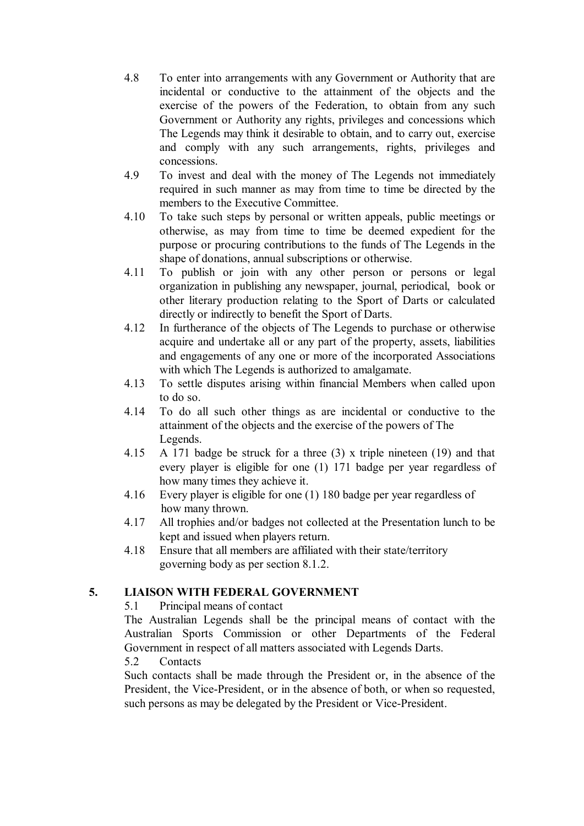- 4.8 To enter into arrangements with any Government or Authority that are incidental or conductive to the attainment of the objects and the exercise of the powers of the Federation, to obtain from any such Government or Authority any rights, privileges and concessions which The Legends may think it desirable to obtain, and to carry out, exercise and comply with any such arrangements, rights, privileges and concessions.
- 4.9 To invest and deal with the money of The Legends not immediately required in such manner as may from time to time be directed by the members to the Executive Committee.
- 4.10 To take such steps by personal or written appeals, public meetings or otherwise, as may from time to time be deemed expedient for the purpose or procuring contributions to the funds of The Legends in the shape of donations, annual subscriptions or otherwise.
- 4.11 To publish or join with any other person or persons or legal organization in publishing any newspaper, journal, periodical, book or other literary production relating to the Sport of Darts or calculated directly or indirectly to benefit the Sport of Darts.
- 4.12 In furtherance of the objects of The Legends to purchase or otherwise acquire and undertake all or any part of the property, assets, liabilities and engagements of any one or more of the incorporated Associations with which The Legends is authorized to amalgamate.
- 4.13 To settle disputes arising within financial Members when called upon to do so.
- 4.14 To do all such other things as are incidental or conductive to the attainment of the objects and the exercise of the powers of The Legends.
- 4.15 A 171 badge be struck for a three (3) x triple nineteen (19) and that every player is eligible for one (1) 171 badge per year regardless of how many times they achieve it.
- 4.16 Every player is eligible for one (1) 180 badge per year regardless of how many thrown.
- 4.17 All trophies and/or badges not collected at the Presentation lunch to be kept and issued when players return.
- 4.18 Ensure that all members are affiliated with their state/territory governing body as per section 8.1.2.

### **5. LIAISON WITH FEDERAL GOVERNMENT**

5.1 Principal means of contact

The Australian Legends shall be the principal means of contact with the Australian Sports Commission or other Departments of the Federal Government in respect of all matters associated with Legends Darts.

### 5.2 Contacts

 Such contacts shall be made through the President or, in the absence of the President, the Vice-President, or in the absence of both, or when so requested, such persons as may be delegated by the President or Vice-President.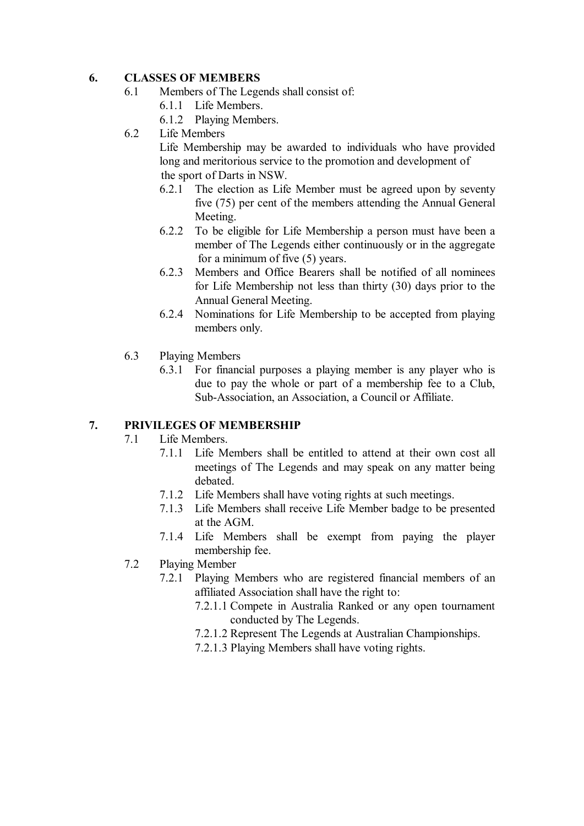### **6. CLASSES OF MEMBERS**

- 6.1 Members of The Legends shall consist of:
	- 6.1.1 Life Members.
	- 6.1.2 Playing Members.
- 6.2 Life Members

 Life Membership may be awarded to individuals who have provided long and meritorious service to the promotion and development of the sport of Darts in NSW.

- 6.2.1 The election as Life Member must be agreed upon by seventy five (75) per cent of the members attending the Annual General Meeting.
- 6.2.2 To be eligible for Life Membership a person must have been a member of The Legends either continuously or in the aggregate for a minimum of five (5) years.
- 6.2.3 Members and Office Bearers shall be notified of all nominees for Life Membership not less than thirty (30) days prior to the Annual General Meeting.
- 6.2.4 Nominations for Life Membership to be accepted from playing members only.
- 6.3 Playing Members
	- 6.3.1 For financial purposes a playing member is any player who is due to pay the whole or part of a membership fee to a Club, Sub-Association, an Association, a Council or Affiliate.

#### **7. PRIVILEGES OF MEMBERSHIP**

- 7.1 Life Members.
	- 7.1.1 Life Members shall be entitled to attend at their own cost all meetings of The Legends and may speak on any matter being debated.
	- 7.1.2 Life Members shall have voting rights at such meetings.
	- 7.1.3 Life Members shall receive Life Member badge to be presented at the AGM.
	- 7.1.4 Life Members shall be exempt from paying the player membership fee.
- 7.2 Playing Member
	- 7.2.1 Playing Members who are registered financial members of an affiliated Association shall have the right to:
		- 7.2.1.1 Compete in Australia Ranked or any open tournament conducted by The Legends.
		- 7.2.1.2 Represent The Legends at Australian Championships.
		- 7.2.1.3 Playing Members shall have voting rights.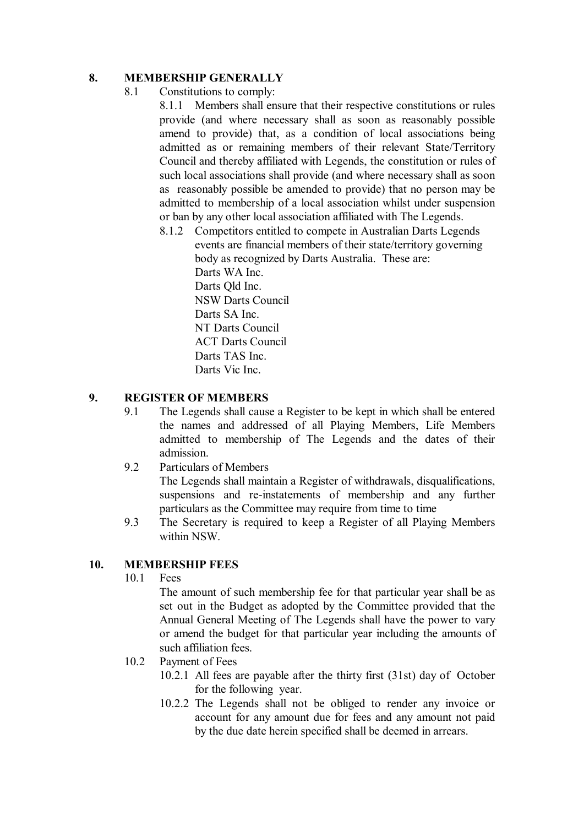## **8. MEMBERSHIP GENERALLY**

8.1 Constitutions to comply:

8.1.1 Members shall ensure that their respective constitutions or rules provide (and where necessary shall as soon as reasonably possible amend to provide) that, as a condition of local associations being admitted as or remaining members of their relevant State/Territory Council and thereby affiliated with Legends, the constitution or rules of such local associations shall provide (and where necessary shall as soon as reasonably possible be amended to provide) that no person may be admitted to membership of a local association whilst under suspension or ban by any other local association affiliated with The Legends.

 8.1.2 Competitors entitled to compete in Australian Darts Legends events are financial members of their state/territory governing body as recognized by Darts Australia. These are: Darts WA Inc. Darts Old Inc. NSW Darts Council Darts SA Inc. NT Darts Council ACT Darts Council Darts TAS Inc. Darts Vic Inc.

### **9. REGISTER OF MEMBERS**

- 9.1 The Legends shall cause a Register to be kept in which shall be entered the names and addressed of all Playing Members, Life Members admitted to membership of The Legends and the dates of their admission.
- 9.2 Particulars of Members

The Legends shall maintain a Register of withdrawals, disqualifications, suspensions and re-instatements of membership and any further particulars as the Committee may require from time to time

9.3 The Secretary is required to keep a Register of all Playing Members within NSW.

# **10. MEMBERSHIP FEES**

10.1 Fees

 The amount of such membership fee for that particular year shall be as set out in the Budget as adopted by the Committee provided that the Annual General Meeting of The Legends shall have the power to vary or amend the budget for that particular year including the amounts of such affiliation fees.

- 10.2 Payment of Fees
	- 10.2.1 All fees are payable after the thirty first (31st) day of October for the following year.
	- 10.2.2 The Legends shall not be obliged to render any invoice or account for any amount due for fees and any amount not paid by the due date herein specified shall be deemed in arrears.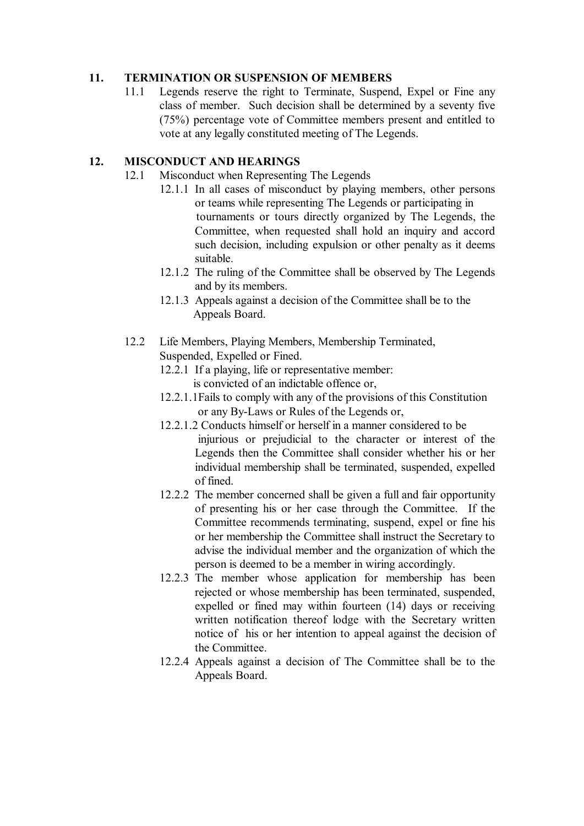### **11. TERMINATION OR SUSPENSION OF MEMBERS**

11.1 Legends reserve the right to Terminate, Suspend, Expel or Fine any class of member. Such decision shall be determined by a seventy five (75%) percentage vote of Committee members present and entitled to vote at any legally constituted meeting of The Legends.

# **12. MISCONDUCT AND HEARINGS**

- 12.1 Misconduct when Representing The Legends
	- 12.1.1 In all cases of misconduct by playing members, other persons or teams while representing The Legends or participating in tournaments or tours directly organized by The Legends, the Committee, when requested shall hold an inquiry and accord such decision, including expulsion or other penalty as it deems suitable.
	- 12.1.2 The ruling of the Committee shall be observed by The Legends and by its members.
	- 12.1.3 Appeals against a decision of the Committee shall be to the Appeals Board.
- 12.2 Life Members, Playing Members, Membership Terminated, Suspended, Expelled or Fined.
	- 12.2.1 If a playing, life or representative member: is convicted of an indictable offence or,
	- 12.2.1.1Fails to comply with any of the provisions of this Constitution or any By-Laws or Rules of the Legends or,
	- 12.2.1.2 Conducts himself or herself in a manner considered to be injurious or prejudicial to the character or interest of the Legends then the Committee shall consider whether his or her individual membership shall be terminated, suspended, expelled of fined.
	- 12.2.2 The member concerned shall be given a full and fair opportunity of presenting his or her case through the Committee. If the Committee recommends terminating, suspend, expel or fine his or her membership the Committee shall instruct the Secretary to advise the individual member and the organization of which the person is deemed to be a member in wiring accordingly.
	- 12.2.3 The member whose application for membership has been rejected or whose membership has been terminated, suspended, expelled or fined may within fourteen (14) days or receiving written notification thereof lodge with the Secretary written notice of his or her intention to appeal against the decision of the Committee.
	- 12.2.4 Appeals against a decision of The Committee shall be to the Appeals Board.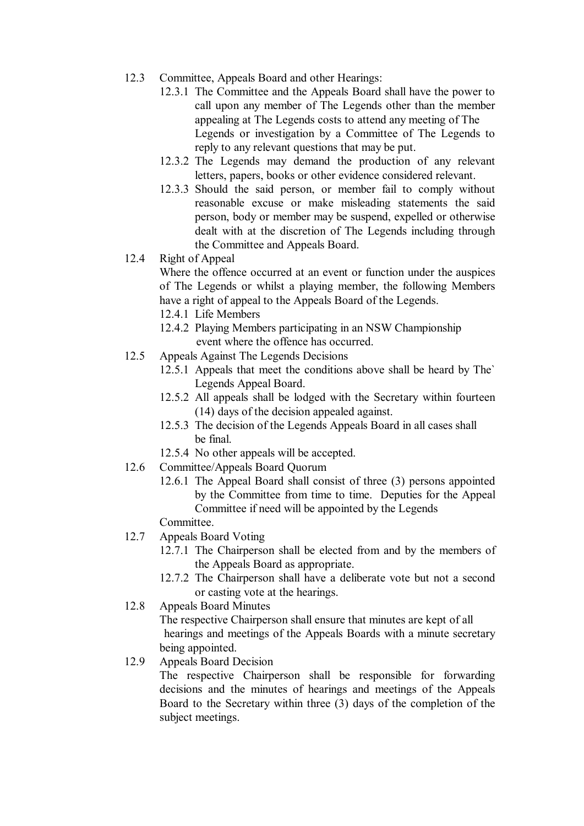- 12.3 Committee, Appeals Board and other Hearings:
	- 12.3.1 The Committee and the Appeals Board shall have the power to call upon any member of The Legends other than the member appealing at The Legends costs to attend any meeting of The Legends or investigation by a Committee of The Legends to reply to any relevant questions that may be put.
	- 12.3.2 The Legends may demand the production of any relevant letters, papers, books or other evidence considered relevant.
	- 12.3.3 Should the said person, or member fail to comply without reasonable excuse or make misleading statements the said person, body or member may be suspend, expelled or otherwise dealt with at the discretion of The Legends including through the Committee and Appeals Board.
- 12.4 Right of Appeal

Where the offence occurred at an event or function under the auspices of The Legends or whilst a playing member, the following Members have a right of appeal to the Appeals Board of the Legends.

- 12.4.1 Life Members
- 12.4.2 Playing Members participating in an NSW Championship event where the offence has occurred.
- 12.5 Appeals Against The Legends Decisions
	- 12.5.1 Appeals that meet the conditions above shall be heard by The` Legends Appeal Board.
	- 12.5.2 All appeals shall be lodged with the Secretary within fourteen (14) days of the decision appealed against.
	- 12.5.3 The decision of the Legends Appeals Board in all cases shall be final.
	- 12.5.4 No other appeals will be accepted.
- 12.6 Committee/Appeals Board Quorum
	- 12.6.1 The Appeal Board shall consist of three (3) persons appointed by the Committee from time to time. Deputies for the Appeal Committee if need will be appointed by the Legends

Committee.

- 12.7 Appeals Board Voting
	- 12.7.1 The Chairperson shall be elected from and by the members of the Appeals Board as appropriate.
	- 12.7.2 The Chairperson shall have a deliberate vote but not a second or casting vote at the hearings.
- 12.8 Appeals Board Minutes

 The respective Chairperson shall ensure that minutes are kept of all hearings and meetings of the Appeals Boards with a minute secretary being appointed.

12.9 Appeals Board Decision

The respective Chairperson shall be responsible for forwarding decisions and the minutes of hearings and meetings of the Appeals Board to the Secretary within three (3) days of the completion of the subject meetings.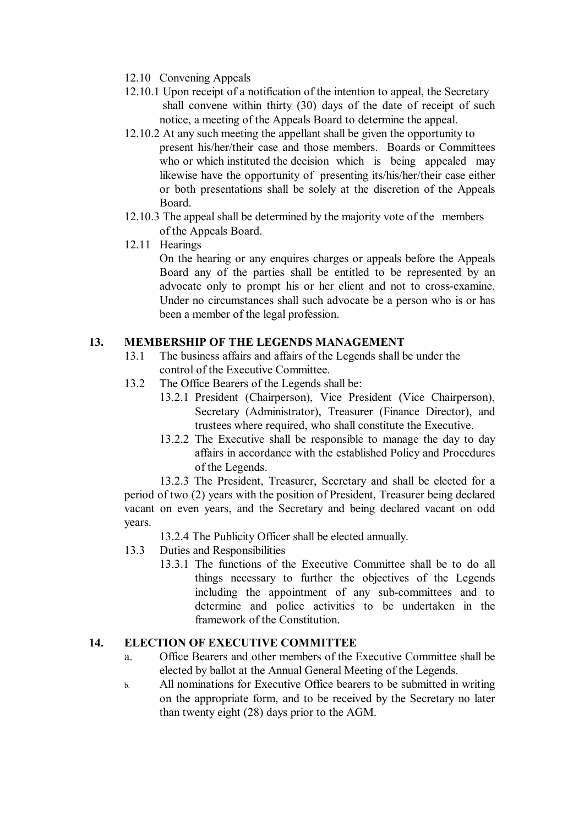- 12.10 Convening Appeals
- 12.10.1 Upon receipt of a notification of the intention to appeal, the Secretary shall convene within thirty (30) days of the date of receipt of such notice, a meeting of the Appeals Board to determine the appeal.
- 12.10.2 At any such meeting the appellant shall be given the opportunity to present his/her/their case and those members. Boards or Committees who or which instituted the decision which is being appealed may likewise have the opportunity of presenting its/his/her/their case either or both presentations shall be solely at the discretion of the Appeals Board.
- 12.10.3 The appeal shall be determined by the majority vote of the members of the Appeals Board.
- 12.11 Hearings

On the hearing or any enquires charges or appeals before the Appeals Board any of the parties shall be entitled to be represented by an advocate only to prompt his or her client and not to cross-examine. Under no circumstances shall such advocate be a person who is or has been a member of the legal profession.

# **13. MEMBERSHIP OF THE LEGENDS MANAGEMENT**

- 13.1 The business affairs and affairs of the Legends shall be under the control of the Executive Committee.
- 13.2 The Office Bearers of the Legends shall be:
	- 13.2.1 President (Chairperson), Vice President (Vice Chairperson), Secretary (Administrator), Treasurer (Finance Director), and trustees where required, who shall constitute the Executive.
	- 13.2.2 The Executive shall be responsible to manage the day to day affairs in accordance with the established Policy and Procedures of the Legends.

13.2.3 The President, Treasurer, Secretary and shall be elected for a period of two (2) years with the position of President, Treasurer being declared vacant on even years, and the Secretary and being declared vacant on odd years.

13.2.4 The Publicity Officer shall be elected annually.

- 13.3 Duties and Responsibilities
	- 13.3.1 The functions of the Executive Committee shall be to do all things necessary to further the objectives of the Legends including the appointment of any sub-committees and to determine and police activities to be undertaken in the framework of the Constitution.

### **14. ELECTION OF EXECUTIVE COMMITTEE**

- a. Office Bearers and other members of the Executive Committee shall be elected by ballot at the Annual General Meeting of the Legends.
- b. All nominations for Executive Office bearers to be submitted in writing on the appropriate form, and to be received by the Secretary no later than twenty eight (28) days prior to the AGM.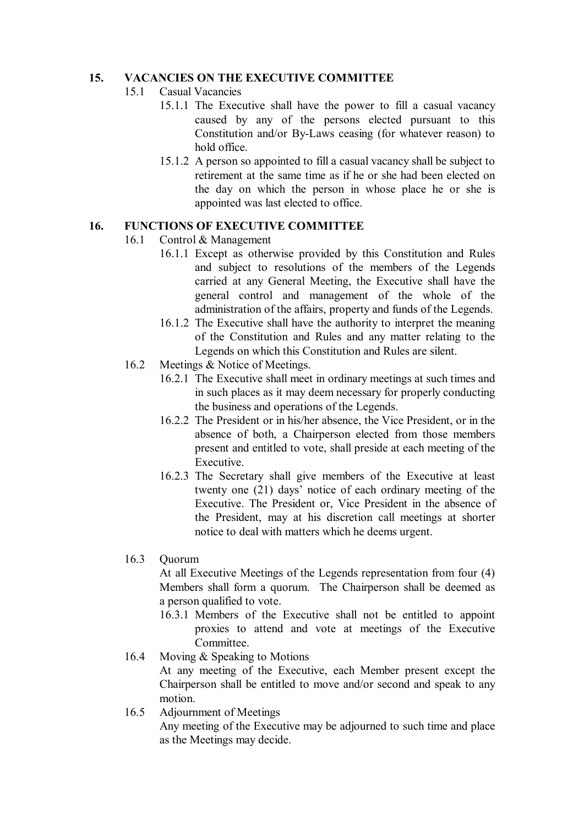# **15. VACANCIES ON THE EXECUTIVE COMMITTEE**

- 15.1 Casual Vacancies
	- 15.1.1 The Executive shall have the power to fill a casual vacancy caused by any of the persons elected pursuant to this Constitution and/or By-Laws ceasing (for whatever reason) to hold office.
	- 15.1.2 A person so appointed to fill a casual vacancy shall be subject to retirement at the same time as if he or she had been elected on the day on which the person in whose place he or she is appointed was last elected to office.

### **16. FUNCTIONS OF EXECUTIVE COMMITTEE**

- 16.1 Control & Management
	- 16.1.1 Except as otherwise provided by this Constitution and Rules and subject to resolutions of the members of the Legends carried at any General Meeting, the Executive shall have the general control and management of the whole of the administration of the affairs, property and funds of the Legends.
	- 16.1.2 The Executive shall have the authority to interpret the meaning of the Constitution and Rules and any matter relating to the Legends on which this Constitution and Rules are silent.
- 16.2 Meetings & Notice of Meetings.
	- 16.2.1 The Executive shall meet in ordinary meetings at such times and in such places as it may deem necessary for properly conducting the business and operations of the Legends.
	- 16.2.2 The President or in his/her absence, the Vice President, or in the absence of both, a Chairperson elected from those members present and entitled to vote, shall preside at each meeting of the Executive.
	- 16.2.3 The Secretary shall give members of the Executive at least twenty one (21) days' notice of each ordinary meeting of the Executive. The President or, Vice President in the absence of the President, may at his discretion call meetings at shorter notice to deal with matters which he deems urgent.

### 16.3 Quorum

 At all Executive Meetings of the Legends representation from four (4) Members shall form a quorum. The Chairperson shall be deemed as a person qualified to vote.

- 16.3.1 Members of the Executive shall not be entitled to appoint proxies to attend and vote at meetings of the Executive **Committee**
- 16.4 Moving & Speaking to Motions At any meeting of the Executive, each Member present except the Chairperson shall be entitled to move and/or second and speak to any motion.
- 16.5 Adjournment of Meetings

Any meeting of the Executive may be adjourned to such time and place as the Meetings may decide.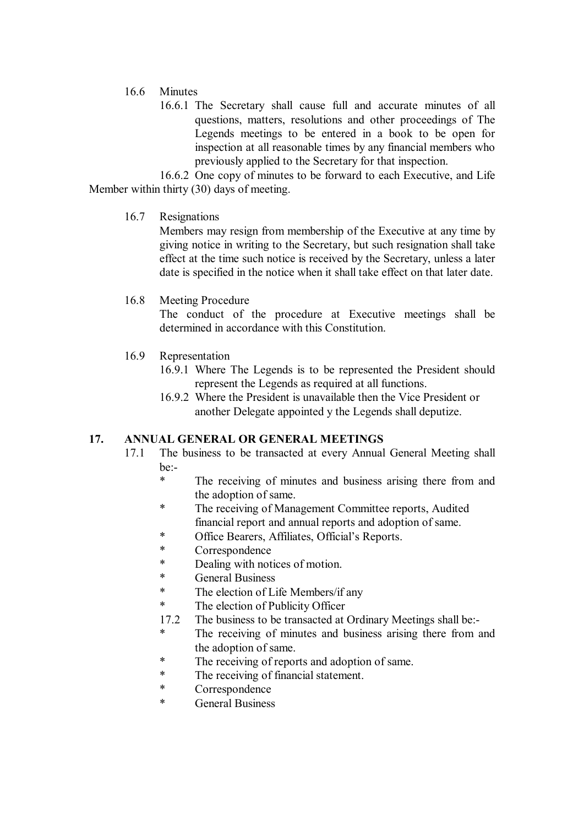### 16.6 Minutes

16.6.1 The Secretary shall cause full and accurate minutes of all questions, matters, resolutions and other proceedings of The Legends meetings to be entered in a book to be open for inspection at all reasonable times by any financial members who previously applied to the Secretary for that inspection.

 16.6.2 One copy of minutes to be forward to each Executive, and Life Member within thirty (30) days of meeting.

### 16.7 Resignations

Members may resign from membership of the Executive at any time by giving notice in writing to the Secretary, but such resignation shall take effect at the time such notice is received by the Secretary, unless a later date is specified in the notice when it shall take effect on that later date.

### 16.8 Meeting Procedure

The conduct of the procedure at Executive meetings shall be determined in accordance with this Constitution.

- 16.9 Representation
	- 16.9.1 Where The Legends is to be represented the President should represent the Legends as required at all functions.
	- 16.9.2 Where the President is unavailable then the Vice President or another Delegate appointed y the Legends shall deputize.

### **17. ANNUAL GENERAL OR GENERAL MEETINGS**

- 17.1 The business to be transacted at every Annual General Meeting shall be:-
	- \* The receiving of minutes and business arising there from and the adoption of same.
	- \* The receiving of Management Committee reports, Audited financial report and annual reports and adoption of same.
	- \* Office Bearers, Affiliates, Official's Reports.
	- \* Correspondence<br>\* Dealing with not
	- Dealing with notices of motion.
	- \* General Business<br>\* The election of I
	- The election of Life Members/if any
	- \* The election of Publicity Officer
	- 17.2 The business to be transacted at Ordinary Meetings shall be:-
	- The receiving of minutes and business arising there from and the adoption of same.
	- \* The receiving of reports and adoption of same.
	- \* The receiving of financial statement.
	- \* Correspondence
	- **General Business**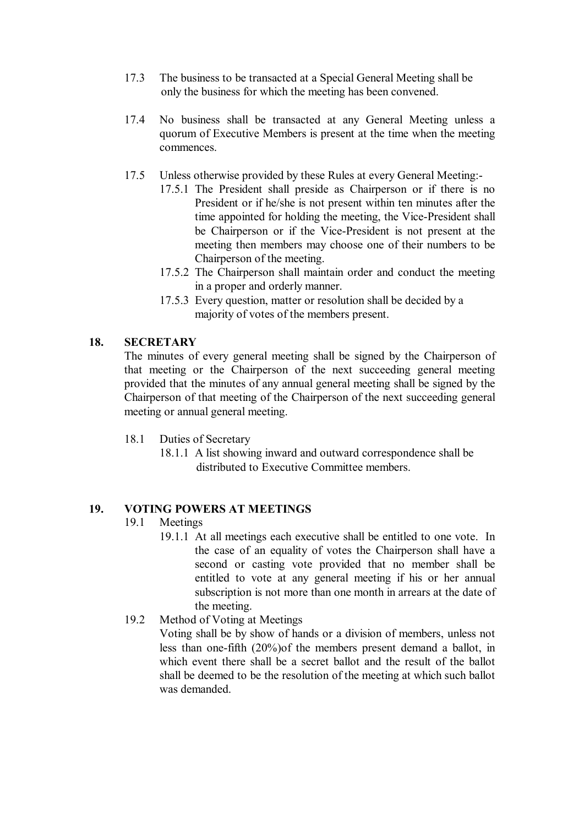- 17.3 The business to be transacted at a Special General Meeting shall be only the business for which the meeting has been convened.
- 17.4 No business shall be transacted at any General Meeting unless a quorum of Executive Members is present at the time when the meeting commences.
- 17.5 Unless otherwise provided by these Rules at every General Meeting:-
	- 17.5.1 The President shall preside as Chairperson or if there is no President or if he/she is not present within ten minutes after the time appointed for holding the meeting, the Vice-President shall be Chairperson or if the Vice-President is not present at the meeting then members may choose one of their numbers to be Chairperson of the meeting.
	- 17.5.2 The Chairperson shall maintain order and conduct the meeting in a proper and orderly manner.
	- 17.5.3 Every question, matter or resolution shall be decided by a majority of votes of the members present.

#### **18. SECRETARY**

The minutes of every general meeting shall be signed by the Chairperson of that meeting or the Chairperson of the next succeeding general meeting provided that the minutes of any annual general meeting shall be signed by the Chairperson of that meeting of the Chairperson of the next succeeding general meeting or annual general meeting.

- 18.1 Duties of Secretary
	- 18.1.1 A list showing inward and outward correspondence shall be distributed to Executive Committee members.

### **19. VOTING POWERS AT MEETINGS**

#### 19.1 Meetings

- 19.1.1 At all meetings each executive shall be entitled to one vote. In the case of an equality of votes the Chairperson shall have a second or casting vote provided that no member shall be entitled to vote at any general meeting if his or her annual subscription is not more than one month in arrears at the date of the meeting.
- 19.2 Method of Voting at Meetings

Voting shall be by show of hands or a division of members, unless not less than one-fifth (20%)of the members present demand a ballot, in which event there shall be a secret ballot and the result of the ballot shall be deemed to be the resolution of the meeting at which such ballot was demanded.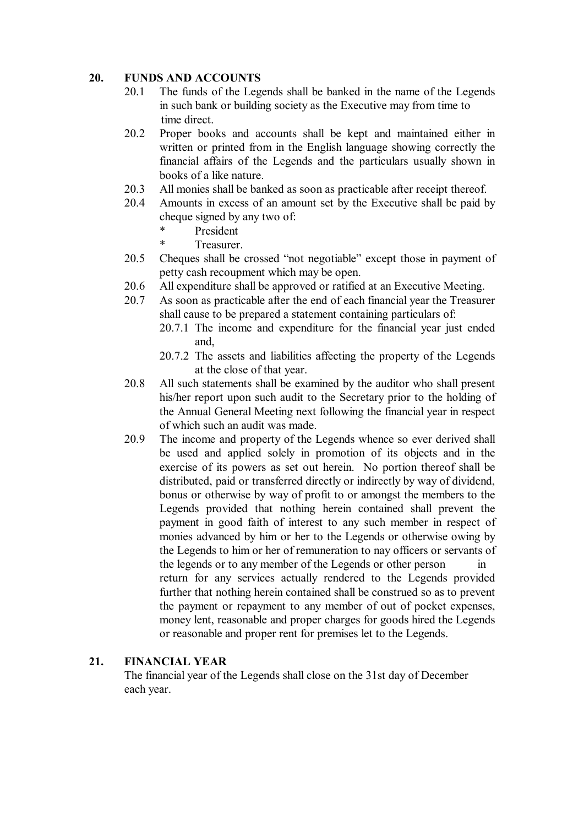## **20. FUNDS AND ACCOUNTS**

- 20.1 The funds of the Legends shall be banked in the name of the Legends in such bank or building society as the Executive may from time to time direct.
- 20.2 Proper books and accounts shall be kept and maintained either in written or printed from in the English language showing correctly the financial affairs of the Legends and the particulars usually shown in books of a like nature.
- 20.3 All monies shall be banked as soon as practicable after receipt thereof.
- 20.4 Amounts in excess of an amount set by the Executive shall be paid by cheque signed by any two of:
	- \* President
	- **Treasurer**
- 20.5 Cheques shall be crossed "not negotiable" except those in payment of petty cash recoupment which may be open.
- 20.6 All expenditure shall be approved or ratified at an Executive Meeting.
- 20.7 As soon as practicable after the end of each financial year the Treasurer shall cause to be prepared a statement containing particulars of:
	- 20.7.1 The income and expenditure for the financial year just ended and,
	- 20.7.2 The assets and liabilities affecting the property of the Legends at the close of that year.
- 20.8 All such statements shall be examined by the auditor who shall present his/her report upon such audit to the Secretary prior to the holding of the Annual General Meeting next following the financial year in respect of which such an audit was made.
- 20.9 The income and property of the Legends whence so ever derived shall be used and applied solely in promotion of its objects and in the exercise of its powers as set out herein. No portion thereof shall be distributed, paid or transferred directly or indirectly by way of dividend, bonus or otherwise by way of profit to or amongst the members to the Legends provided that nothing herein contained shall prevent the payment in good faith of interest to any such member in respect of monies advanced by him or her to the Legends or otherwise owing by the Legends to him or her of remuneration to nay officers or servants of the legends or to any member of the Legends or other person return for any services actually rendered to the Legends provided further that nothing herein contained shall be construed so as to prevent the payment or repayment to any member of out of pocket expenses, money lent, reasonable and proper charges for goods hired the Legends or reasonable and proper rent for premises let to the Legends.

### **21. FINANCIAL YEAR**

The financial year of the Legends shall close on the 31st day of December each year.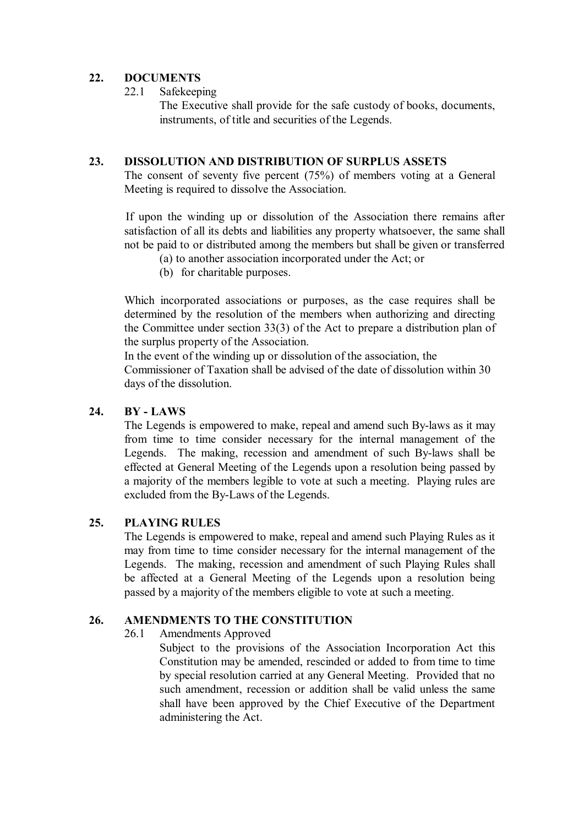### **22. DOCUMENTS**

22.1 Safekeeping

 The Executive shall provide for the safe custody of books, documents, instruments, of title and securities of the Legends.

### **23. DISSOLUTION AND DISTRIBUTION OF SURPLUS ASSETS**

The consent of seventy five percent (75%) of members voting at a General Meeting is required to dissolve the Association.

If upon the winding up or dissolution of the Association there remains after satisfaction of all its debts and liabilities any property whatsoever, the same shall not be paid to or distributed among the members but shall be given or transferred

- (a) to another association incorporated under the Act; or
- (b) for charitable purposes.

Which incorporated associations or purposes, as the case requires shall be determined by the resolution of the members when authorizing and directing the Committee under section 33(3) of the Act to prepare a distribution plan of the surplus property of the Association.

In the event of the winding up or dissolution of the association, the Commissioner of Taxation shall be advised of the date of dissolution within 30 days of the dissolution.

### **24. BY - LAWS**

The Legends is empowered to make, repeal and amend such By-laws as it may from time to time consider necessary for the internal management of the Legends. The making, recession and amendment of such By-laws shall be effected at General Meeting of the Legends upon a resolution being passed by a majority of the members legible to vote at such a meeting. Playing rules are excluded from the By-Laws of the Legends.

# **25. PLAYING RULES**

The Legends is empowered to make, repeal and amend such Playing Rules as it may from time to time consider necessary for the internal management of the Legends. The making, recession and amendment of such Playing Rules shall be affected at a General Meeting of the Legends upon a resolution being passed by a majority of the members eligible to vote at such a meeting.

# **26. AMENDMENTS TO THE CONSTITUTION**

26.1 Amendments Approved

Subject to the provisions of the Association Incorporation Act this Constitution may be amended, rescinded or added to from time to time by special resolution carried at any General Meeting. Provided that no such amendment, recession or addition shall be valid unless the same shall have been approved by the Chief Executive of the Department administering the Act.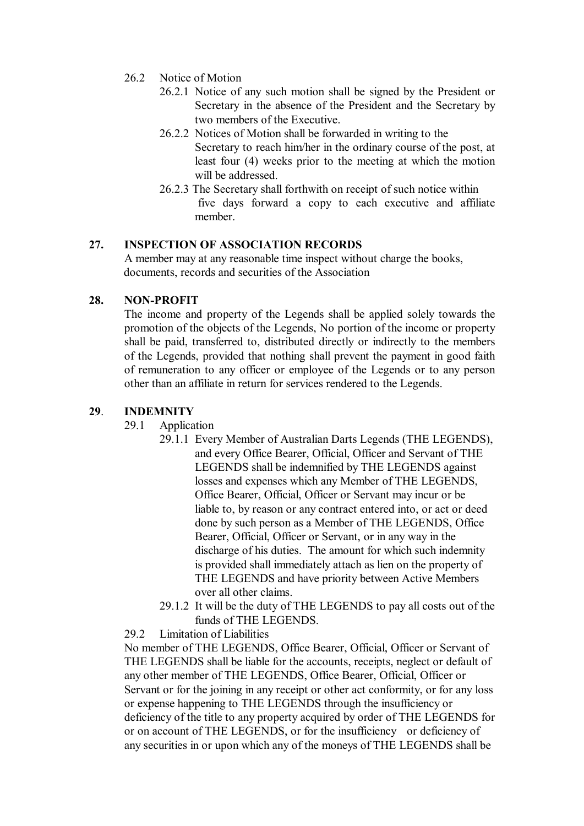- 26.2 Notice of Motion
	- 26.2.1 Notice of any such motion shall be signed by the President or Secretary in the absence of the President and the Secretary by two members of the Executive.
	- 26.2.2 Notices of Motion shall be forwarded in writing to the Secretary to reach him/her in the ordinary course of the post, at least four (4) weeks prior to the meeting at which the motion will be addressed.
	- 26.2.3 The Secretary shall forthwith on receipt of such notice within five days forward a copy to each executive and affiliate member.

# **27. INSPECTION OF ASSOCIATION RECORDS**

A member may at any reasonable time inspect without charge the books, documents, records and securities of the Association

#### **28. NON-PROFIT**

The income and property of the Legends shall be applied solely towards the promotion of the objects of the Legends, No portion of the income or property shall be paid, transferred to, distributed directly or indirectly to the members of the Legends, provided that nothing shall prevent the payment in good faith of remuneration to any officer or employee of the Legends or to any person other than an affiliate in return for services rendered to the Legends.

#### **29**. **INDEMNITY**

- 29.1 Application
	- 29.1.1 Every Member of Australian Darts Legends (THE LEGENDS), and every Office Bearer, Official, Officer and Servant of THE LEGENDS shall be indemnified by THE LEGENDS against losses and expenses which any Member of THE LEGENDS, Office Bearer, Official, Officer or Servant may incur or be liable to, by reason or any contract entered into, or act or deed done by such person as a Member of THE LEGENDS, Office Bearer, Official, Officer or Servant, or in any way in the discharge of his duties. The amount for which such indemnity is provided shall immediately attach as lien on the property of THE LEGENDS and have priority between Active Members over all other claims.
	- 29.1.2 It will be the duty of THE LEGENDS to pay all costs out of the funds of THE LEGENDS.

#### 29.2 Limitation of Liabilities

 No member of THE LEGENDS, Office Bearer, Official, Officer or Servant of THE LEGENDS shall be liable for the accounts, receipts, neglect or default of any other member of THE LEGENDS, Office Bearer, Official, Officer or Servant or for the joining in any receipt or other act conformity, or for any loss or expense happening to THE LEGENDS through the insufficiency or deficiency of the title to any property acquired by order of THE LEGENDS for or on account of THE LEGENDS, or for the insufficiency or deficiency of any securities in or upon which any of the moneys of THE LEGENDS shall be